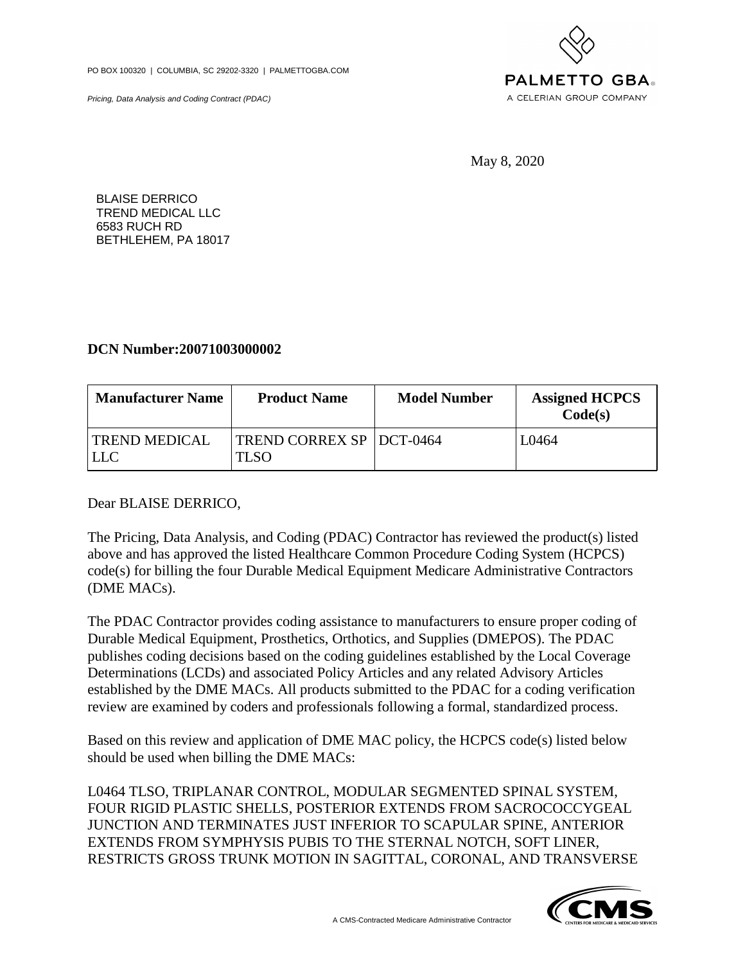PO BOX 100320 | COLUMBIA, SC 29202-3320 | PALMETTOGBA.COM

Pricing, Data Analysis and Coding Contract (PDAC)



May 8, 2020

BLAISE DERRICO TREND MEDICAL LLC 6583 RUCH RD BETHLEHEM, PA 18017

## **DCN Number:20071003000002**

| <b>Manufacturer Name</b>    | <b>Product Name</b>                | <b>Model Number</b> | <b>Assigned HCPCS</b><br>Code(s) |
|-----------------------------|------------------------------------|---------------------|----------------------------------|
| <b>TREND MEDICAL</b><br>LLC | TREND CORREX SP   DCT-0464<br>TLSO |                     | L0464                            |

Dear BLAISE DERRICO,

The Pricing, Data Analysis, and Coding (PDAC) Contractor has reviewed the product(s) listed above and has approved the listed Healthcare Common Procedure Coding System (HCPCS) code(s) for billing the four Durable Medical Equipment Medicare Administrative Contractors (DME MACs).

The PDAC Contractor provides coding assistance to manufacturers to ensure proper coding of Durable Medical Equipment, Prosthetics, Orthotics, and Supplies (DMEPOS). The PDAC publishes coding decisions based on the coding guidelines established by the Local Coverage Determinations (LCDs) and associated Policy Articles and any related Advisory Articles established by the DME MACs. All products submitted to the PDAC for a coding verification review are examined by coders and professionals following a formal, standardized process.

Based on this review and application of DME MAC policy, the HCPCS code(s) listed below should be used when billing the DME MACs:

L0464 TLSO, TRIPLANAR CONTROL, MODULAR SEGMENTED SPINAL SYSTEM, FOUR RIGID PLASTIC SHELLS, POSTERIOR EXTENDS FROM SACROCOCCYGEAL JUNCTION AND TERMINATES JUST INFERIOR TO SCAPULAR SPINE, ANTERIOR EXTENDS FROM SYMPHYSIS PUBIS TO THE STERNAL NOTCH, SOFT LINER, RESTRICTS GROSS TRUNK MOTION IN SAGITTAL, CORONAL, AND TRANSVERSE